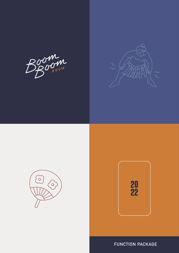Boom







**FUNCTION PACKAGE**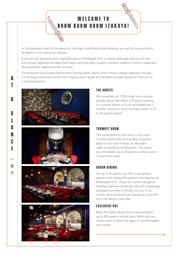

In the basement level of the beautiful, heritage listed Adina Hotel building, you will be transported to Brisbane's most exclusive Izakaya.

A tantalizing Japanese menu highlighting our Robatayaki Grill, a unique beverage selection of rare and unique Japanese whiskeys and sakes, and specially curated cocktails combine to form a Japanese dining and bar experience like no other.

Formerly the Queensland Government Savings Bank, Boom Boom Room Izakaya creatively morphs it's heritage listed bank vaults into uniquely avant-garde and decadent private spaces for that one of **A** it's heritage listed<br>a kind experience.









## **THE VAILLTS**

We converted our 1920s bank into a unique private space that offers a 30 guest capacity for cocktail events or it can be divided into 2 smaller rooms for more intimate events of 10 to 18 quests seated.

### **TRUMPET ROOM**

The centerpiece of this room is our iconic Timothy Oulton Rex dining table; A perfect place to host your friends for decadent night of sparkling conversation. The space accommodates up to 30 guests cocktail style or 7 around the table.

## **GROUP DINING**

For up to 34 guests, we offer a designated space in the Izakaya Restaurant overlooking the Robatayaki Grill. Enjoy the custom designed omakase banquet whilst pairing with a beverage package and sake or whisky journey. It can remain semi-private or be opened up to benefit from the venue's cool vibe.

## **EXCLUSIVE USE**

Book The Boom Boom Room exclusively for up to 300 guests cocktail style. Work with our events team to tailor the space to accommodate your needs.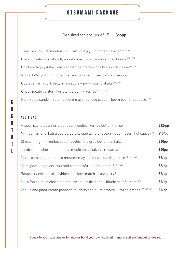## **otsumami package**

## Required for groups of 15+ | **\$46pp**

Tuna maki roll, fermented chilli, yuzu mayo, cucumber + avocado (GF, DF) Ora king salmon maki roll, wasabi mayo, yuzu kosho + miso kimchi <sup>(GF, DF)</sup> Chicken thigh yakitori, chicken fat vinaigrette + chicken skin furikake  $(GF, DF)$ Icon XB Wagyu tri tip, bora miso + sunflower puree, perilla dressing Gooralie Farm pork belly, miso apple + pork floss furikake (GF, DF) Crispy potato yakitori, koji plant cream + kombu (GF, DF, W) Pork katsu sando, miso mustyard mayo, bulldog sauce + boom boom hot sauce <sup>(DF)</sup>

## **ADDITIONS**

**C**

**O**

**C**

**K**

**T**

**A**

**I**

T

**L**

| Frasier island spanner crab, udon noodles, kombu butter + shiso                               | $$12$ /pp |
|-----------------------------------------------------------------------------------------------|-----------|
| Mini barramundi katsu boa burger, kewpie tartare, bacon + boom boom hot sauce <sup>(DF)</sup> | $$10$ /pp |
| Chicken thigh in kombu, soba noodles, foie gras butter, furikake                              | \$10pp    |
| Lamb rump, shio kombu, miso, mushrooms, takana + edamame                                      | \$10pp    |
| Mushroom onigirazu, miso mustard mayo, takana + bulldog sauce (GF, DF, W)                     | $$8$ /pp  |
| Miso glazed eggplant, salt and pepper tofu + spring onion (GF, DF, W)                         | $$8$ /pp  |
| Raspberry cheesecake, white chocolate, match + raspberry <sup>(GF)</sup>                      | \$7/pp    |
| Nitro frozen miso chocolate mousse, dulce de leche + blueberries [can be done GF]             | \$7/pp    |
| Vanilla and plant cream pannacotta, shiso and plum granita + frozen grapes (GF, DF, W)        | \$7/pp    |

**Speak to your coordinator to tailor or build your own cocktail menu to suit any budget or desire.**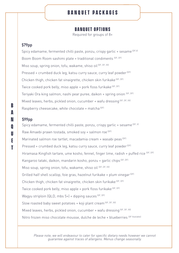# **banquet packages**

## **Banquet options**

Required for groups of 8+

## **\$79pp**

Spicy edamame, fermented chilli paste, ponzu, crispy garlic + sesame <sup>(DF,V)</sup> Boom Boom Room sashimi plate + traditional condiments (GF, DF) Miso soup, spring onion, tofu, wakame, shiso oil (GF, DF, W) Pressed + crumbed duck leg, katsu curry sauce, curry leaf powder <sup>(DF)</sup> Chicken thigh, chicken fat vinaigrette, chicken skin furikake (GF, DF) Twice cooked pork belly, miso apple + pork floss furikake (GF, DF) Teriyaki Ora king salmon, nashi pear puree, daikon + spring onion (GF, DF) Mixed leaves, herbs, pickled onion, cucumber + wafu dressing (GF, DF, W) Raspberry cheesecake, white chocolate + matcha [GF]

## **\$99pp**

Spicy edamame, fermented chilli paste, ponzu, crispy garlic + sesame <sup>(DF, V)</sup> Raw Amaebi prawn tostada, smoked soy + salmon roe (DF) Marinated salmon roe tartlet, macadamia cream + wasabi peas <sup>(DF)</sup> Pressed + crumbed duck leg, katsu curry sauce, curry leaf powder <sup>(DF)</sup> Hiramasa Kingfish tartare, ume kosho, fennel, finger lime, radish + puffed rice <sup>(GF, DF)</sup> Kangaroo tataki, daikon, mandarin kosho, ponzu + garlic chips (GF, DF) Miso soup, spring onion, tofu, wakame, shiso oil (GF, DF, W) Grilled half shell scallop, foie gras, hazelnut furikake + plum vinegar  $(GF)$ Chicken thigh, chicken fat vinaigrette, chicken skin furikake (GF, DF) Twice cooked pork belly, miso apple + pork floss furikake (GF, DF) Wagyu striploin  $[QLD, mbs 5+] + dipping$  sauces  $[GF, DF]$ Slow roasted baby sweet potatoes + koji plant cream (GF, DF, W) Mixed leaves, herbs, pickled onion, cucumber + wafu dressing (GF, DF, W) Nitro frozen miso chocolate mousse, dulche de leche + blueberries (GF Available)

Please note, we will endeavour to cater for specific dietary needs however we cannot guarantee against traces of allergens. Menus change seasonally.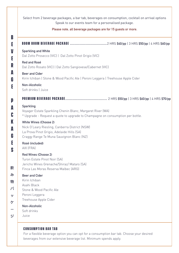Select from 2 beverage packages, a bar tab, beverages on consumption, cocktail on arrival options Speak to our events team for a personalised package.

#### **Please note, all beverage packages are for 15 guests or more.**

## **boom boom BEVERAGE PACKAGE ...............................** 2 HRS **\$40/pp** | 3 HRS **\$50/pp** | 4 HRS **\$60/pp**

#### **Sparkling and White**

Dal Zotto Prosecco (VIC) | Dal Zotto Pinot Grigio (VIC)

#### **Red and Rosé**

**B**

**E**

**V**

**E**

**R**

**A**

**G**

**E**

**P**

**A**

**C**

**K**

**A**

**G**

**E**

**S**

飮

物

パ

**vy** 

ケ

 $\Rightarrow$ 

Dal Zotto Rosato (VIC) | Dal Zotto Sangiovese/Cabernet (VIC)

#### **Beer and Cider**

Kirin Ichiban | Stone & Wood Pacific Ale | Peroni Leggera | Treehouse Apple Cider

## **Non-Alcoholic**

Soft drinks | Juice

**PREMIUM BEVERAGE PACKAGE ...................................** 2 HRS **\$50/pp** | 3 HRS **\$60/pp** | 4 HRS **\$70/pp**

#### **Sparkling**

Voyager Estate Sparkling Chenin Blanc, Margaret River (WA) \* Upgrade - Request a quote to upgrade to Champagne on consumption per bottle.

#### **White Wines (Choose 2)**

Nick O'Leary Riesling, Canberra District (NSW) La Prova Pinot Grigio, Adelaide Hills (SA) Craggy Range Te Muna Sauvignon Blanc (NZ)

#### **Rosé (included)** AIX (FRA)

#### **Red Wines (Choose 2)**

Turon Estate Pinot Noir (SA) Jericho Wines Grenache/Shiraz/ Mataro (SA) Finca Las Moras Reserva Malbec (ARG)

#### $\partial$ **Beer and Cider**

- Kirin Ichiban
- Asahi Black
- Stone & Wood Pacific Ale
- Peroni Leggera
- Treehouse Apple Cider

#### **Non-Alcoholic**

- Soft drinks
- Juice

## **CONSUMPTION BAR TAR**

For a flexible beverage option you can opt for a consumption bar tab. Choose your desired beverages from our extensive beverage list. Minimum spends apply.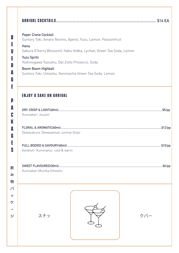| <b>Paper Crane Cocktail</b><br>Suntory Toki, Amaro Nonino, Aperol, Yuzu, Lemon, Passionfruit |     |
|----------------------------------------------------------------------------------------------|-----|
| Hana                                                                                         |     |
| Sakura (Cherry Blossom), Haku Vodka, Lychee, Green Tea Soda, Lemon                           |     |
| <b>Yuzu Spritz</b><br>Yoshinogawa Yuzushu, Dal Zotto Prosecco, Soda                          |     |
| <b>Boom Boom Highball</b>                                                                    |     |
| Suntory Toki, Umeshu, Genmaicha Green Tea Soda, Lemon                                        |     |
|                                                                                              |     |
| <b>ENJOY A SAKE ON ARRIVAL</b>                                                               |     |
|                                                                                              |     |
|                                                                                              |     |
| Kunizakari Jousen'                                                                           |     |
|                                                                                              |     |
| Dewazakura 'Dewasansan Junmai Ginjo'                                                         |     |
|                                                                                              |     |
| Kenbishi 'Kuromatsu' cold & warm                                                             |     |
|                                                                                              |     |
|                                                                                              |     |
|                                                                                              |     |
| Kunizakari Muroka Umeshu                                                                     |     |
|                                                                                              |     |
|                                                                                              |     |
|                                                                                              |     |
|                                                                                              |     |
|                                                                                              |     |
| スナッ                                                                                          | クバー |
|                                                                                              |     |